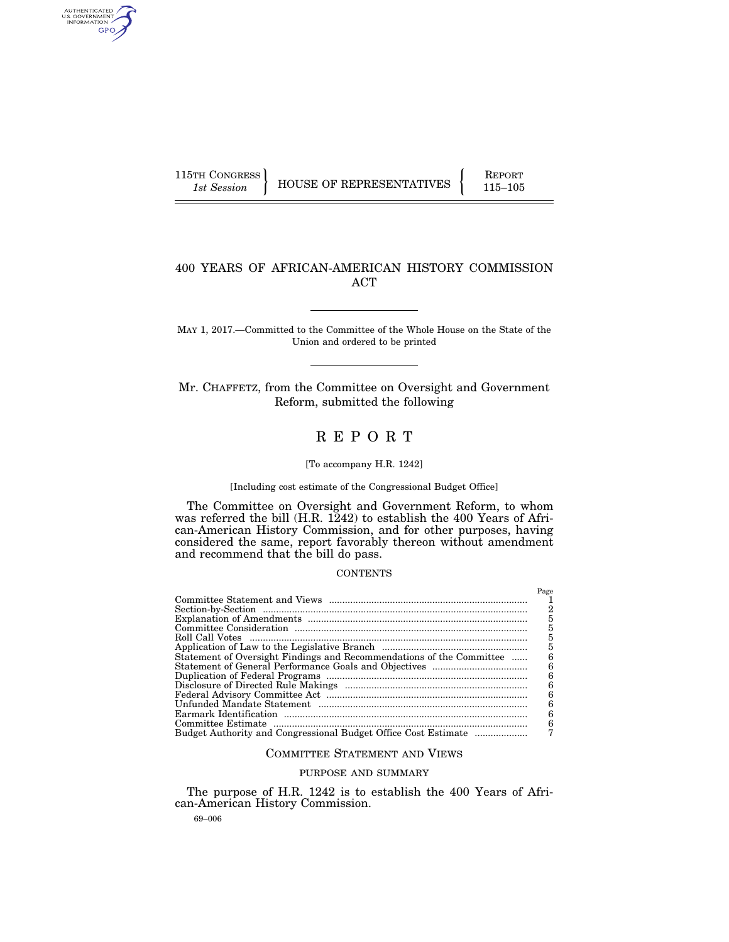AUTHENTICATED<br>U.S. GOVERNMENT<br>INFORMATION GPO

115TH CONGRESS HOUSE OF REPRESENTATIVES FEPORT 115–105

# 400 YEARS OF AFRICAN-AMERICAN HISTORY COMMISSION ACT

MAY 1, 2017.—Committed to the Committee of the Whole House on the State of the Union and ordered to be printed

Mr. CHAFFETZ, from the Committee on Oversight and Government Reform, submitted the following

# R E P O R T

#### [To accompany H.R. 1242]

[Including cost estimate of the Congressional Budget Office]

The Committee on Oversight and Government Reform, to whom was referred the bill (H.R. 1242) to establish the 400 Years of African-American History Commission, and for other purposes, having considered the same, report favorably thereon without amendment and recommend that the bill do pass.

#### CONTENTS

|                                                                      | Page |
|----------------------------------------------------------------------|------|
|                                                                      |      |
|                                                                      | 2    |
|                                                                      | 5    |
|                                                                      | 5    |
|                                                                      | 5    |
|                                                                      | 5    |
| Statement of Oversight Findings and Recommendations of the Committee | 6    |
|                                                                      | 6    |
|                                                                      | 6    |
|                                                                      | 6    |
|                                                                      | 6    |
|                                                                      | 6    |
|                                                                      | 6    |
|                                                                      | 6    |
|                                                                      | 7    |

## COMMITTEE STATEMENT AND VIEWS

# PURPOSE AND SUMMARY

The purpose of H.R. 1242 is to establish the 400 Years of African-American History Commission.

69–006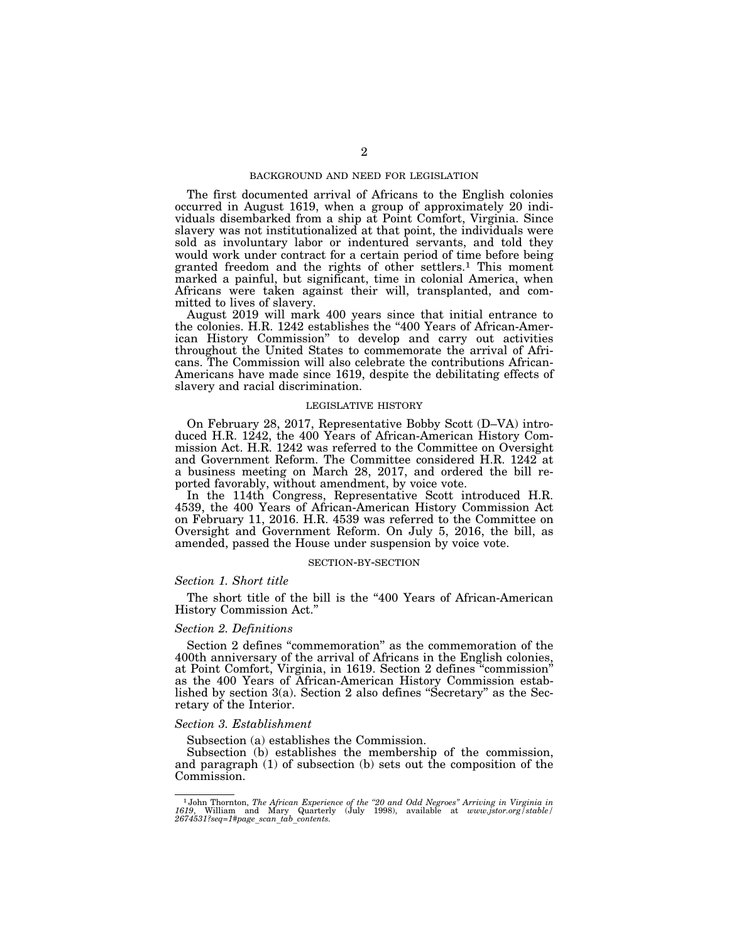## BACKGROUND AND NEED FOR LEGISLATION

The first documented arrival of Africans to the English colonies occurred in August 1619, when a group of approximately 20 individuals disembarked from a ship at Point Comfort, Virginia. Since slavery was not institutionalized at that point, the individuals were sold as involuntary labor or indentured servants, and told they would work under contract for a certain period of time before being granted freedom and the rights of other settlers.1 This moment marked a painful, but significant, time in colonial America, when Africans were taken against their will, transplanted, and committed to lives of slavery.

August 2019 will mark 400 years since that initial entrance to the colonies. H.R. 1242 establishes the "400 Years of African-American History Commission'' to develop and carry out activities throughout the United States to commemorate the arrival of Africans. The Commission will also celebrate the contributions African-Americans have made since 1619, despite the debilitating effects of slavery and racial discrimination.

## LEGISLATIVE HISTORY

On February 28, 2017, Representative Bobby Scott (D–VA) introduced H.R. 1242, the 400 Years of African-American History Commission Act. H.R. 1242 was referred to the Committee on Oversight and Government Reform. The Committee considered H.R. 1242 at a business meeting on March 28, 2017, and ordered the bill reported favorably, without amendment, by voice vote.

In the 114th Congress, Representative Scott introduced H.R. 4539, the 400 Years of African-American History Commission Act on February 11, 2016. H.R. 4539 was referred to the Committee on Oversight and Government Reform. On July 5, 2016, the bill, as amended, passed the House under suspension by voice vote.

#### SECTION-BY-SECTION

## *Section 1. Short title*

The short title of the bill is the "400 Years of African-American History Commission Act.''

## *Section 2. Definitions*

Section 2 defines "commemoration" as the commemoration of the 400th anniversary of the arrival of Africans in the English colonies, at Point Comfort, Virginia, in 1619. Section 2 defines ''commission'' as the 400 Years of African-American History Commission established by section 3(a). Section 2 also defines ''Secretary'' as the Secretary of the Interior.

## *Section 3. Establishment*

Subsection (a) establishes the Commission.

Subsection (b) establishes the membership of the commission, and paragraph  $(1)$  of subsection  $(b)$  sets out the composition of the Commission.

<sup>&</sup>lt;sup>1</sup>John Thornton, The African Experience of the "20 and Odd Negroes" Arriving in Virginia in 1619, William and Mary Quarterly (July 1998), available at *www.jstor.org*/stable/2674531?seq=1#page\_scan\_tab\_contents.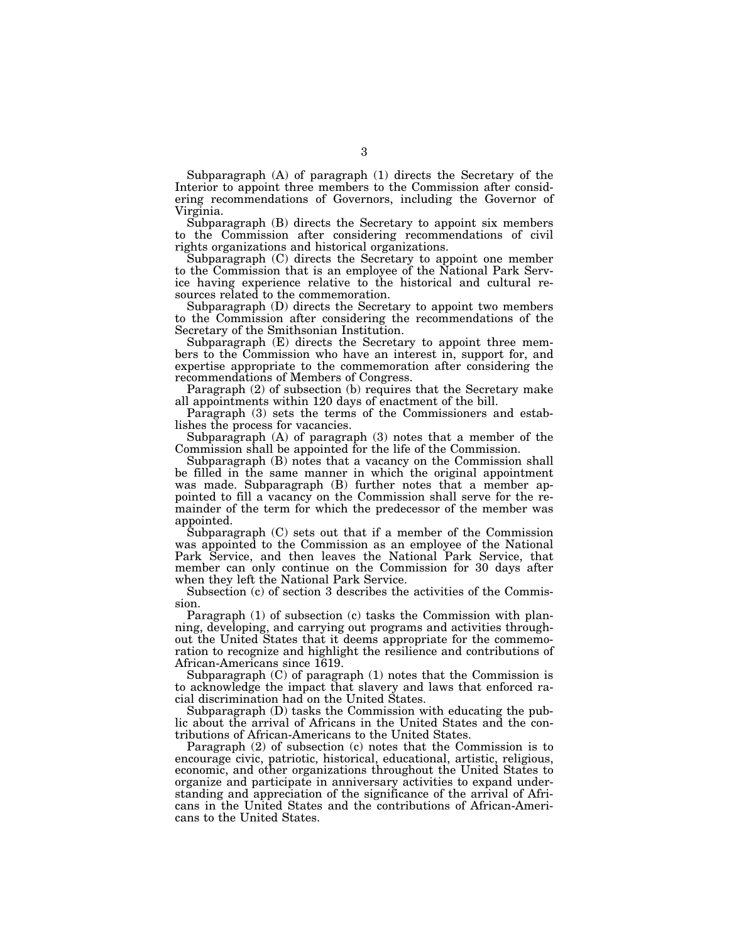Subparagraph (A) of paragraph (1) directs the Secretary of the Interior to appoint three members to the Commission after considering recommendations of Governors, including the Governor of Virginia.

Subparagraph (B) directs the Secretary to appoint six members to the Commission after considering recommendations of civil rights organizations and historical organizations.

Subparagraph (C) directs the Secretary to appoint one member to the Commission that is an employee of the National Park Service having experience relative to the historical and cultural resources related to the commemoration.

Subparagraph (D) directs the Secretary to appoint two members to the Commission after considering the recommendations of the Secretary of the Smithsonian Institution.

Subparagraph (E) directs the Secretary to appoint three members to the Commission who have an interest in, support for, and expertise appropriate to the commemoration after considering the recommendations of Members of Congress.

Paragraph (2) of subsection (b) requires that the Secretary make all appointments within 120 days of enactment of the bill.

Paragraph (3) sets the terms of the Commissioners and establishes the process for vacancies.

Subparagraph (A) of paragraph (3) notes that a member of the Commission shall be appointed for the life of the Commission.

Subparagraph (B) notes that a vacancy on the Commission shall be filled in the same manner in which the original appointment was made. Subparagraph (B) further notes that a member appointed to fill a vacancy on the Commission shall serve for the remainder of the term for which the predecessor of the member was appointed.

Subparagraph (C) sets out that if a member of the Commission was appointed to the Commission as an employee of the National Park Service, and then leaves the National Park Service, that member can only continue on the Commission for 30 days after when they left the National Park Service.

Subsection (c) of section 3 describes the activities of the Commission.

Paragraph (1) of subsection (c) tasks the Commission with planning, developing, and carrying out programs and activities throughout the United States that it deems appropriate for the commemoration to recognize and highlight the resilience and contributions of African-Americans since 1619.

Subparagraph (C) of paragraph (1) notes that the Commission is to acknowledge the impact that slavery and laws that enforced racial discrimination had on the United States.

Subparagraph (D) tasks the Commission with educating the public about the arrival of Africans in the United States and the contributions of African-Americans to the United States.

Paragraph (2) of subsection (c) notes that the Commission is to encourage civic, patriotic, historical, educational, artistic, religious, economic, and other organizations throughout the United States to organize and participate in anniversary activities to expand understanding and appreciation of the significance of the arrival of Africans in the United States and the contributions of African-Americans to the United States.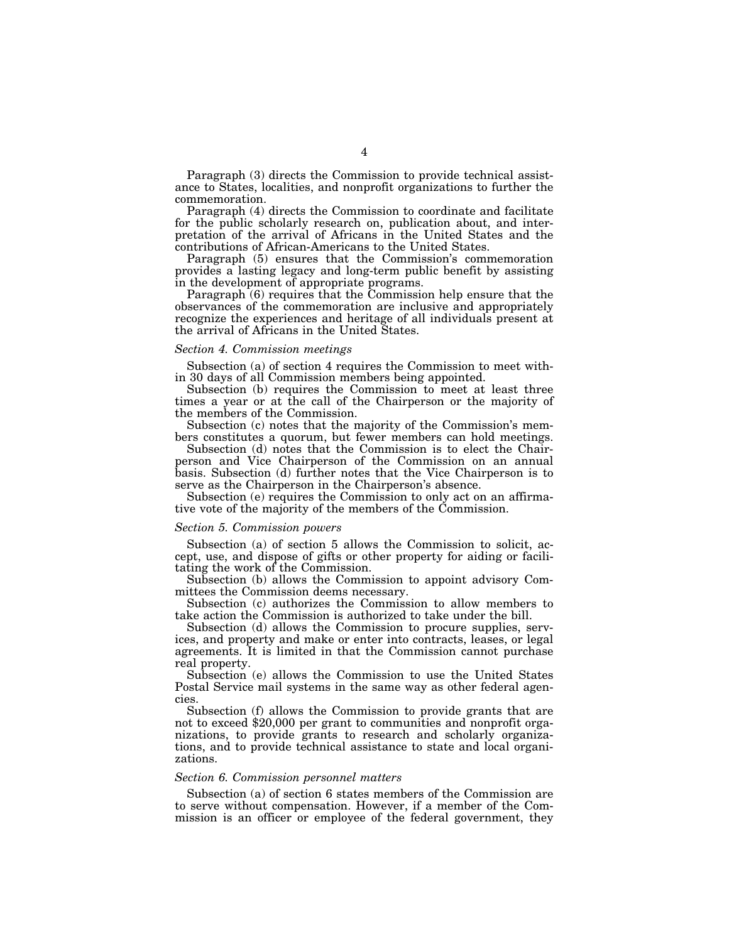Paragraph (3) directs the Commission to provide technical assistance to States, localities, and nonprofit organizations to further the commemoration.

Paragraph (4) directs the Commission to coordinate and facilitate for the public scholarly research on, publication about, and interpretation of the arrival of Africans in the United States and the contributions of African-Americans to the United States.

Paragraph (5) ensures that the Commission's commemoration provides a lasting legacy and long-term public benefit by assisting in the development of appropriate programs.

Paragraph (6) requires that the Commission help ensure that the observances of the commemoration are inclusive and appropriately recognize the experiences and heritage of all individuals present at the arrival of Africans in the United States.

### *Section 4. Commission meetings*

Subsection (a) of section 4 requires the Commission to meet within 30 days of all Commission members being appointed.

Subsection (b) requires the Commission to meet at least three times a year or at the call of the Chairperson or the majority of the members of the Commission.

Subsection (c) notes that the majority of the Commission's members constitutes a quorum, but fewer members can hold meetings.

Subsection (d) notes that the Commission is to elect the Chairperson and Vice Chairperson of the Commission on an annual basis. Subsection (d) further notes that the Vice Chairperson is to serve as the Chairperson in the Chairperson's absence.

Subsection (e) requires the Commission to only act on an affirmative vote of the majority of the members of the Commission.

## *Section 5. Commission powers*

Subsection (a) of section 5 allows the Commission to solicit, accept, use, and dispose of gifts or other property for aiding or facilitating the work of the Commission.

Subsection (b) allows the Commission to appoint advisory Committees the Commission deems necessary.

Subsection (c) authorizes the Commission to allow members to take action the Commission is authorized to take under the bill.

Subsection (d) allows the Commission to procure supplies, services, and property and make or enter into contracts, leases, or legal agreements. It is limited in that the Commission cannot purchase real property.

Subsection (e) allows the Commission to use the United States Postal Service mail systems in the same way as other federal agencies.

Subsection (f) allows the Commission to provide grants that are not to exceed \$20,000 per grant to communities and nonprofit organizations, to provide grants to research and scholarly organizations, and to provide technical assistance to state and local organizations.

## *Section 6. Commission personnel matters*

Subsection (a) of section 6 states members of the Commission are to serve without compensation. However, if a member of the Commission is an officer or employee of the federal government, they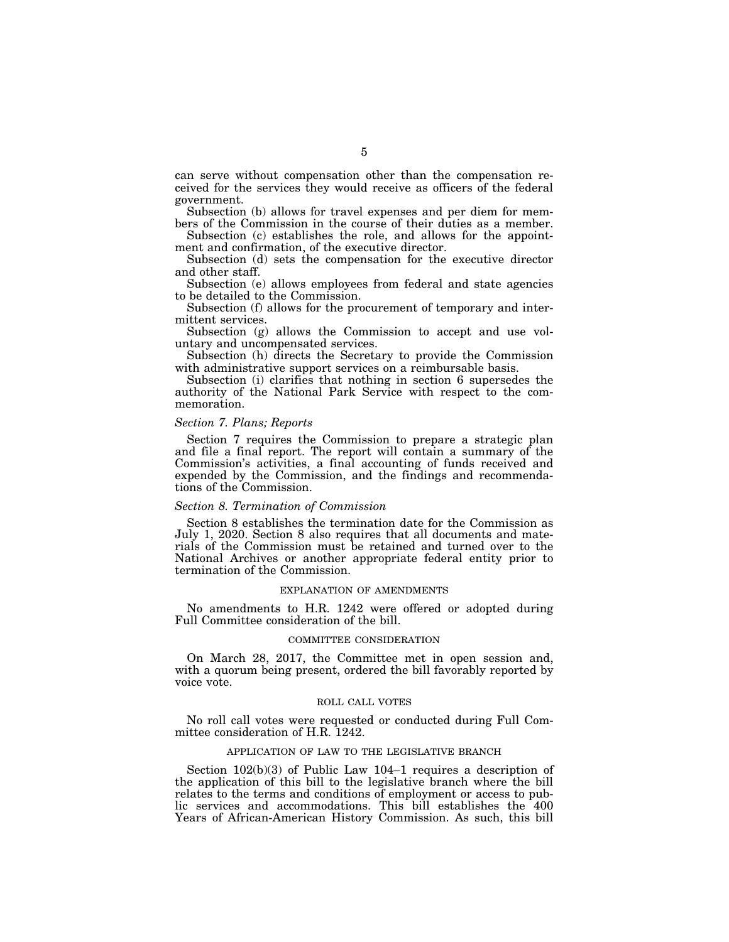can serve without compensation other than the compensation received for the services they would receive as officers of the federal government.

Subsection (b) allows for travel expenses and per diem for members of the Commission in the course of their duties as a member.

Subsection (c) establishes the role, and allows for the appointment and confirmation, of the executive director.

Subsection (d) sets the compensation for the executive director and other staff.

Subsection (e) allows employees from federal and state agencies to be detailed to the Commission.

Subsection (f) allows for the procurement of temporary and intermittent services.

Subsection (g) allows the Commission to accept and use voluntary and uncompensated services.

Subsection (h) directs the Secretary to provide the Commission with administrative support services on a reimbursable basis.

Subsection (i) clarifies that nothing in section 6 supersedes the authority of the National Park Service with respect to the commemoration.

## *Section 7. Plans; Reports*

Section 7 requires the Commission to prepare a strategic plan and file a final report. The report will contain a summary of the Commission's activities, a final accounting of funds received and expended by the Commission, and the findings and recommendations of the Commission.

## *Section 8. Termination of Commission*

Section 8 establishes the termination date for the Commission as July 1, 2020. Section 8 also requires that all documents and materials of the Commission must be retained and turned over to the National Archives or another appropriate federal entity prior to termination of the Commission.

#### EXPLANATION OF AMENDMENTS

No amendments to H.R. 1242 were offered or adopted during Full Committee consideration of the bill.

## COMMITTEE CONSIDERATION

On March 28, 2017, the Committee met in open session and, with a quorum being present, ordered the bill favorably reported by voice vote.

#### ROLL CALL VOTES

No roll call votes were requested or conducted during Full Committee consideration of H.R. 1242.

## APPLICATION OF LAW TO THE LEGISLATIVE BRANCH

Section 102(b)(3) of Public Law 104–1 requires a description of the application of this bill to the legislative branch where the bill relates to the terms and conditions of employment or access to public services and accommodations. This bill establishes the 400 Years of African-American History Commission. As such, this bill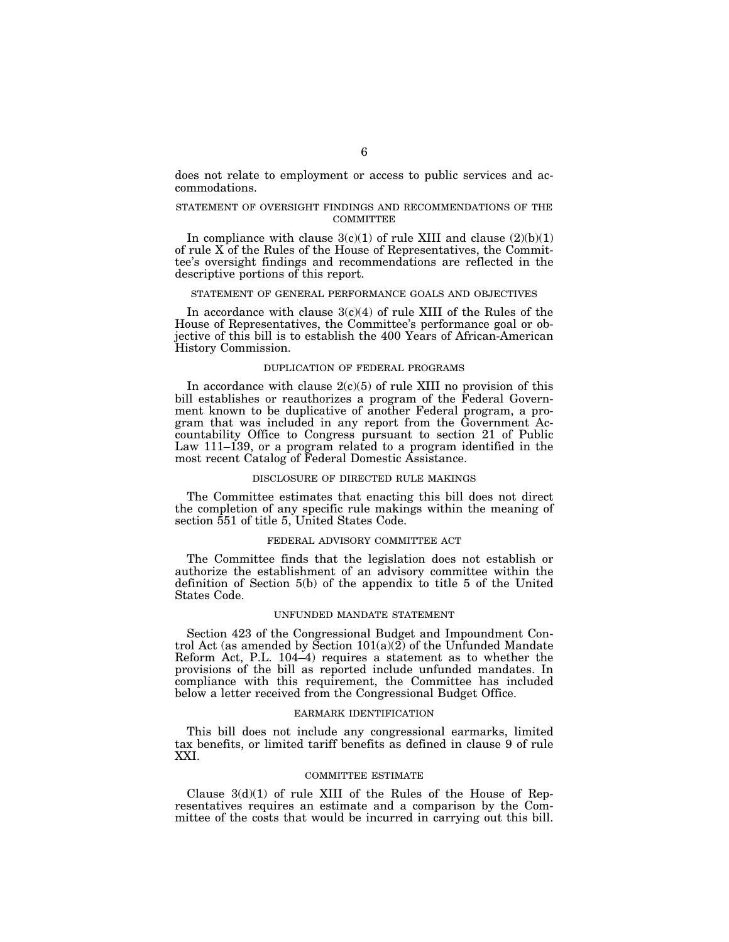does not relate to employment or access to public services and accommodations.

## STATEMENT OF OVERSIGHT FINDINGS AND RECOMMENDATIONS OF THE COMMITTEE

In compliance with clause  $3(c)(1)$  of rule XIII and clause  $(2)(b)(1)$ of rule X of the Rules of the House of Representatives, the Committee's oversight findings and recommendations are reflected in the descriptive portions of this report.

## STATEMENT OF GENERAL PERFORMANCE GOALS AND OBJECTIVES

In accordance with clause  $3(c)(4)$  of rule XIII of the Rules of the House of Representatives, the Committee's performance goal or objective of this bill is to establish the 400 Years of African-American History Commission.

## DUPLICATION OF FEDERAL PROGRAMS

In accordance with clause  $2(c)(5)$  of rule XIII no provision of this bill establishes or reauthorizes a program of the Federal Government known to be duplicative of another Federal program, a program that was included in any report from the Government Accountability Office to Congress pursuant to section 21 of Public Law 111–139, or a program related to a program identified in the most recent Catalog of Federal Domestic Assistance.

## DISCLOSURE OF DIRECTED RULE MAKINGS

The Committee estimates that enacting this bill does not direct the completion of any specific rule makings within the meaning of section 551 of title 5, United States Code.

#### FEDERAL ADVISORY COMMITTEE ACT

The Committee finds that the legislation does not establish or authorize the establishment of an advisory committee within the definition of Section 5(b) of the appendix to title 5 of the United States Code.

#### UNFUNDED MANDATE STATEMENT

Section 423 of the Congressional Budget and Impoundment Control Act (as amended by Section  $101(a)(2)$  of the Unfunded Mandate Reform Act, P.L. 104–4) requires a statement as to whether the provisions of the bill as reported include unfunded mandates. In compliance with this requirement, the Committee has included below a letter received from the Congressional Budget Office.

## EARMARK IDENTIFICATION

This bill does not include any congressional earmarks, limited tax benefits, or limited tariff benefits as defined in clause 9 of rule XXI.

#### COMMITTEE ESTIMATE

Clause  $3(d)(1)$  of rule XIII of the Rules of the House of Representatives requires an estimate and a comparison by the Committee of the costs that would be incurred in carrying out this bill.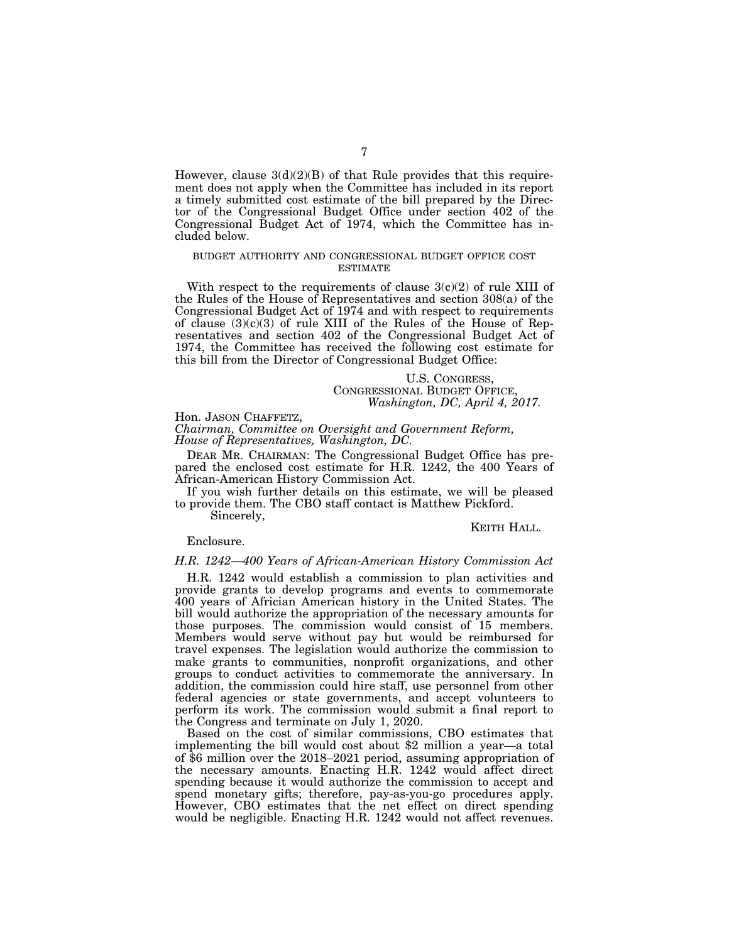However, clause  $3(d)(2)(B)$  of that Rule provides that this requirement does not apply when the Committee has included in its report a timely submitted cost estimate of the bill prepared by the Director of the Congressional Budget Office under section 402 of the Congressional Budget Act of 1974, which the Committee has included below.

## BUDGET AUTHORITY AND CONGRESSIONAL BUDGET OFFICE COST ESTIMATE

With respect to the requirements of clause  $3(c)(2)$  of rule XIII of the Rules of the House of Representatives and section 308(a) of the Congressional Budget Act of 1974 and with respect to requirements of clause  $(3)(c)(3)$  of rule XIII of the Rules of the House of Representatives and section 402 of the Congressional Budget Act of 1974, the Committee has received the following cost estimate for this bill from the Director of Congressional Budget Office:

## U.S. CONGRESS, CONGRESSIONAL BUDGET OFFICE, *Washington, DC, April 4, 2017.*

Hon. JASON CHAFFETZ, *Chairman, Committee on Oversight and Government Reform, House of Representatives, Washington, DC.* 

DEAR MR. CHAIRMAN: The Congressional Budget Office has prepared the enclosed cost estimate for H.R. 1242, the 400 Years of African-American History Commission Act.

If you wish further details on this estimate, we will be pleased to provide them. The CBO staff contact is Matthew Pickford.

Sincerely,

## KEITH HALL.

## Enclosure.

## *H.R. 1242—400 Years of African-American History Commission Act*

H.R. 1242 would establish a commission to plan activities and provide grants to develop programs and events to commemorate 400 years of Africian American history in the United States. The bill would authorize the appropriation of the necessary amounts for those purposes. The commission would consist of 15 members. Members would serve without pay but would be reimbursed for travel expenses. The legislation would authorize the commission to make grants to communities, nonprofit organizations, and other groups to conduct activities to commemorate the anniversary. In addition, the commission could hire staff, use personnel from other federal agencies or state governments, and accept volunteers to perform its work. The commission would submit a final report to the Congress and terminate on July 1, 2020.

Based on the cost of similar commissions, CBO estimates that implementing the bill would cost about \$2 million a year—a total of \$6 million over the 2018–2021 period, assuming appropriation of the necessary amounts. Enacting H.R. 1242 would affect direct spending because it would authorize the commission to accept and spend monetary gifts; therefore, pay-as-you-go procedures apply. However, CBO estimates that the net effect on direct spending would be negligible. Enacting H.R. 1242 would not affect revenues.